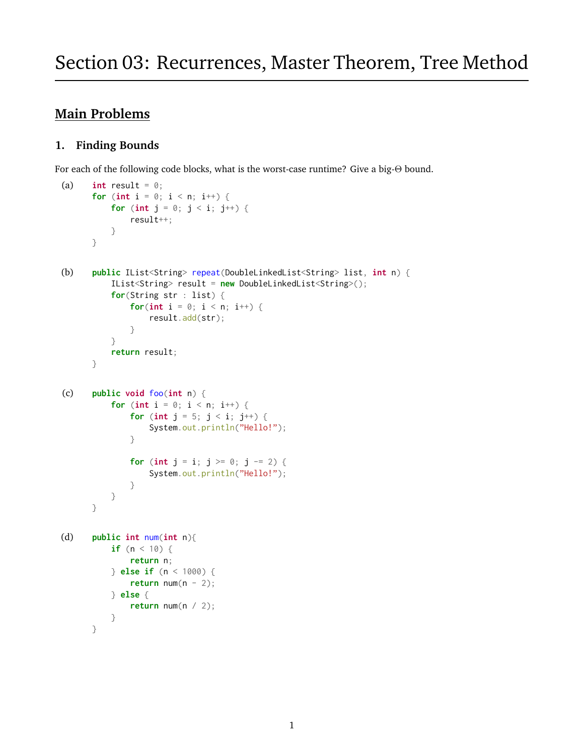# **Main Problems**

## **1. Finding Bounds**

For each of the following code blocks, what is the worst-case runtime? Give a big-Θ bound.

```
(a) int result = \theta;
      for (int i = 0; i < n; i++) {
          for (int j = 0; j < i; j^{++}) {
               result++;
          }
      }
(b) public IList<String> repeat(DoubleLinkedList<String> list, int n) {
          IList<String> result = new DoubleLinkedList<String>();
          for(String str : list) {
               for(\text{int } i = 0; i < n; i++) {
                   result.add(str);
               }
          }
          return result;
      }
(c) public void foo(int n) {
          for (int i = 0; i < n; i++) {
               for (int j = 5; j < i; j^{++}) {
                   System.out.println("Hello!");
               }
               for (int j = i; j \ge 0; j = 2) {
                   System.out.println("Hello!");
               }
          }
      }
(d) public int num(int n){
          if (n < 10) {
               return n;
          } else if (n < 1000) {
               return num(n - 2);
          } else {
               return num(n / 2);
          }
      }
```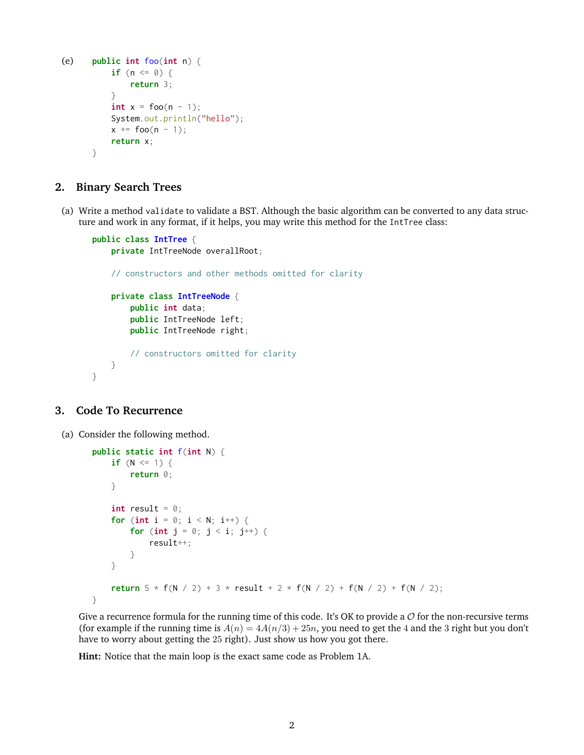```
(e) public int foo(int n) {
          if (n \le 0) {
              return 3;
          }
          int x = foo(n - 1);System.out.println("hello");
          x += foo(n - 1);return x;
      }
```
#### **2. Binary Search Trees**

(a) Write a method validate to validate a BST. Although the basic algorithm can be converted to any data structure and work in any format, if it helps, you may write this method for the IntTree class:

```
public class IntTree {
    private IntTreeNode overallRoot;
    // constructors and other methods omitted for clarity
    private class IntTreeNode {
        public int data;
        public IntTreeNode left;
        public IntTreeNode right;
        // constructors omitted for clarity
    }
}
```
#### **3. Code To Recurrence**

(a) Consider the following method.

```
public static int f(int N) {
    if (N \le 1) {
        return 0;
    }
    int result = 0;
    for (int i = 0; i < N; i^{++}) {
        for (int j = 0; j < i; j^{++}) {
            result++;
        }
    }
    return 5 * f(N / 2) + 3 * result + 2 * f(N / 2) + f(N / 2) + f(N / 2);}
```
Give a recurrence formula for the running time of this code. It's OK to provide a  $\mathcal O$  for the non-recursive terms (for example if the running time is  $A(n) = 4A(n/3) + 25n$ , you need to get the 4 and the 3 right but you don't have to worry about getting the 25 right). Just show us how you got there.

**Hint:** Notice that the main loop is the exact same code as Problem 1A.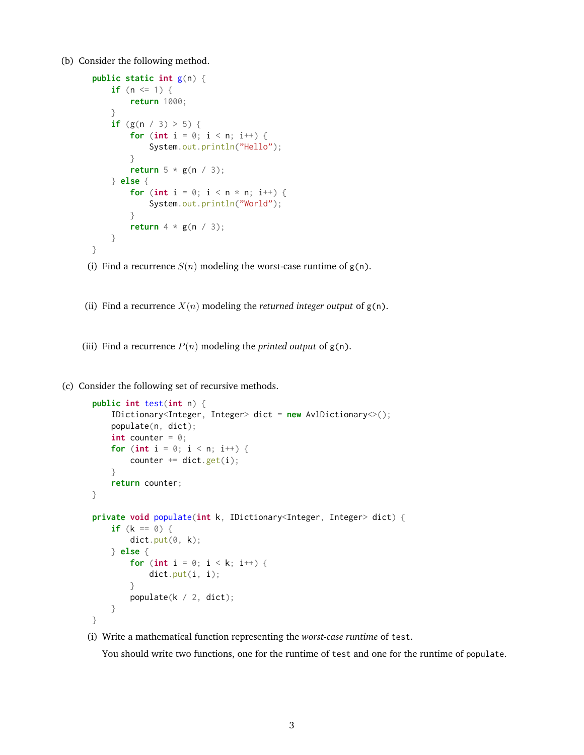(b) Consider the following method.

```
public static int g(n) {
    if (n \leq 1) {
        return 1000;
    }
    if (g(n / 3) > 5) {
        for (int i = 0; i < n; i++) {
            System.out.println("Hello");
        }
        return 5 * g(n / 3);
    } else {
        for (int i = 0; i < n * n; i++) {
            System.out.println("World");
        }
        return 4 * g(n / 3);
    }
}
```
- (i) Find a recurrence  $S(n)$  modeling the worst-case runtime of  $g(n)$ .
- (ii) Find a recurrence  $X(n)$  modeling the *returned integer output* of  $g(n)$ .
- (iii) Find a recurrence  $P(n)$  modeling the *printed output* of  $g(n)$ .
- (c) Consider the following set of recursive methods.

```
public int test(int n) {
    IDictionary<Integer, Integer> dict = new AvlDictionary<>();
    populate(n, dict);
    int counter = \theta;
    for (int i = 0; i < n; i++) {
        counter += dict.get(i);
    }
    return counter;
}
private void populate(int k, IDictionary<Integer, Integer> dict) {
    if (k == 0) {
        dict.put(0, k);} else {
        for (int i = 0; i < k; i++) {
            dict.put(i, i);}
        populate(k / 2, dict);
    }
}
```
(i) Write a mathematical function representing the *worst-case runtime* of test.

You should write two functions, one for the runtime of test and one for the runtime of populate.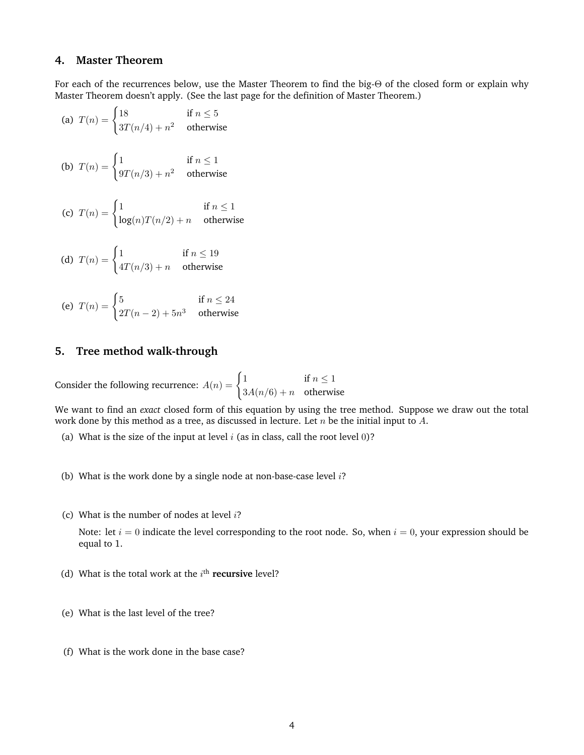#### **4. Master Theorem**

For each of the recurrences below, use the Master Theorem to find the big-Θ of the closed form or explain why Master Theorem doesn't apply. (See the last page for the definition of Master Theorem.)

(a)  $T(n) = \begin{cases} 18 & \text{if } n \leq 5 \\ 0 & \text{if } n \leq 5 \end{cases}$  $3T(n/4) + n^2$  otherwise (b)  $T(n) = \begin{cases} 1 & \text{if } n \leq 1 \\ 0 & \text{if } n \leq 1 \end{cases}$  $9T(n/3) + n^2$  otherwise (c)  $T(n) = \begin{cases} 1 & \text{if } n \leq 1 \\ 1 & \text{if } n \leq 1 \end{cases}$  $log(n)T(n/2) + n$  otherwise (d)  $T(n) = \begin{cases} 1 & \text{if } n \leq 19 \\ \sqrt{n} & \text{if } n \leq 19 \end{cases}$  $4T(n/3) + n$  otherwise

(e) 
$$
T(n) = \begin{cases} 5 & \text{if } n \leq 24 \\ 2T(n-2) + 5n^3 & \text{otherwise} \end{cases}
$$

### **5. Tree method walk-through**

Consider the following recurrence:  $A(n) = \begin{cases} 1 & \text{if } n \leq 1 \\ 0 & \text{if } n \leq n \end{cases}$  $3A(n/6) + n$  otherwise

We want to find an *exact* closed form of this equation by using the tree method. Suppose we draw out the total work done by this method as a tree, as discussed in lecture. Let  $n$  be the initial input to A.

- (a) What is the size of the input at level  $i$  (as in class, call the root level 0)?
- (b) What is the work done by a single node at non-base-case level  $i$ ?
- (c) What is the number of nodes at level  $i$ ?

Note: let  $i = 0$  indicate the level corresponding to the root node. So, when  $i = 0$ , your expression should be equal to 1.

- (d) What is the total work at the  $i<sup>th</sup>$  **recursive** level?
- (e) What is the last level of the tree?
- (f) What is the work done in the base case?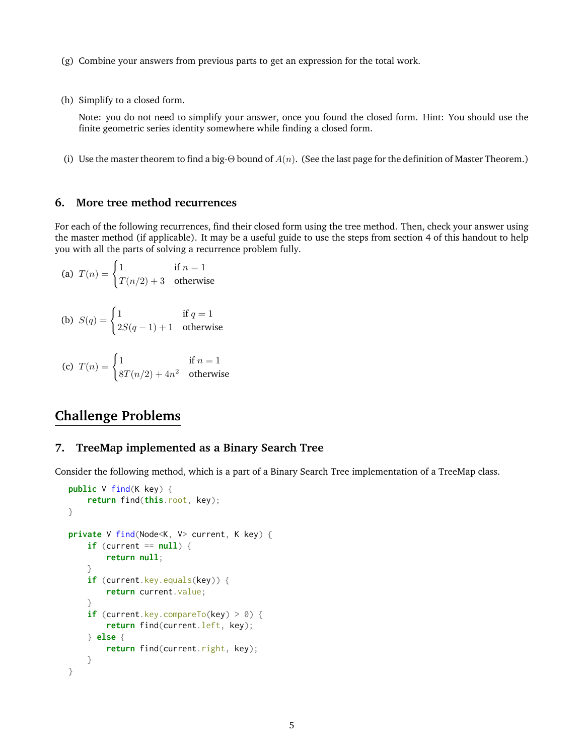- (g) Combine your answers from previous parts to get an expression for the total work.
- (h) Simplify to a closed form.

Note: you do not need to simplify your answer, once you found the closed form. Hint: You should use the finite geometric series identity somewhere while finding a closed form.

(i) Use the master theorem to find a big-Θ bound of  $A(n)$ . (See the last page for the definition of Master Theorem.)

#### **6. More tree method recurrences**

For each of the following recurrences, find their closed form using the tree method. Then, check your answer using the master method (if applicable). It may be a useful guide to use the steps from section 4 of this handout to help you with all the parts of solving a recurrence problem fully.

(a) 
$$
T(n) = \begin{cases} 1 & \text{if } n = 1 \\ T(n/2) + 3 & \text{otherwise} \end{cases}
$$

(b) 
$$
S(q) = \begin{cases} 1 & \text{if } q = 1 \\ 2S(q-1) + 1 & \text{otherwise} \end{cases}
$$

(c) 
$$
T(n) = \begin{cases} 1 & \text{if } n = 1\\ 8T(n/2) + 4n^2 & \text{otherwise} \end{cases}
$$

# **Challenge Problems**

#### **7. TreeMap implemented as a Binary Search Tree**

Consider the following method, which is a part of a Binary Search Tree implementation of a TreeMap class.

```
public V find(K key) {
    return find(this.root, key);
}
private V find(Node<K, V> current, K key) {
    if (current == null) {
        return null;
    }
    if (current.key.equals(key)) {
        return current.value;
    }
    if (current.key.compareTo(key) > 0) {
        return find(current.left, key);
    } else {
        return find(current.right, key);
    }
}
```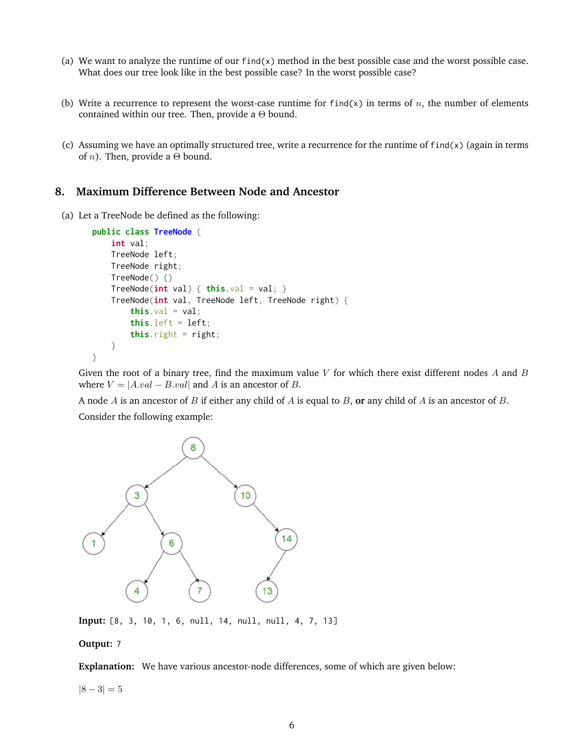- (a) We want to analyze the runtime of our  $find(x)$  method in the best possible case and the worst possible case. What does our tree look like in the best possible case? In the worst possible case?
- (b) Write a recurrence to represent the worst-case runtime for find(x) in terms of n, the number of elements contained within our tree. Then, provide a  $\Theta$  bound.
- (c) Assuming we have an optimally structured tree, write a recurrence for the runtime of  $find(x)$  (again in terms of *n*). Then, provide a  $\Theta$  bound.

#### **8. Maximum Difference Between Node and Ancestor**

(a) Let a TreeNode be defined as the following:

```
public class TreeNode {
    int val;
    TreeNode left;
    TreeNode right;
    TreeNode() {}
    TreeNode(int val) { this.val = val; }TreeNode(int val, TreeNode left, TreeNode right) {
        this.val = val;
        this. left = left;this.right = right;
    }
}
```
Given the root of a binary tree, find the maximum value  $V$  for which there exist different nodes  $A$  and  $B$ where  $V = |A.val - B.val|$  and A is an ancestor of B.

A node A is an ancestor of B if either any child of A is equal to B, **or** any child of A is an ancestor of B. Consider the following example:



**Input:** [8, 3, 10, 1, 6, null, 14, null, null, 4, 7, 13]

#### **Output:** 7

**Explanation:** We have various ancestor-node differences, some of which are given below:

 $|8 - 3| = 5$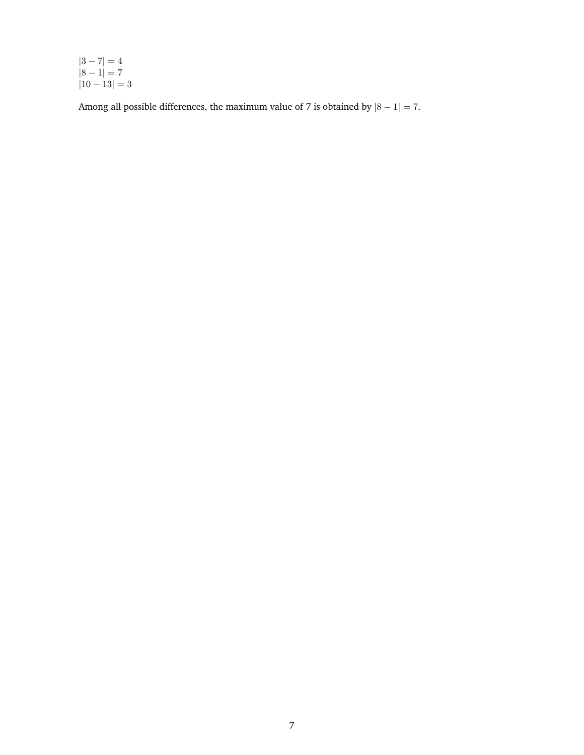$|3 - 7| = 4$  $|8 - 1| = 7$  $|10 - 13| = 3$ 

Among all possible differences, the maximum value of 7 is obtained by  $|8 - 1| = 7$ .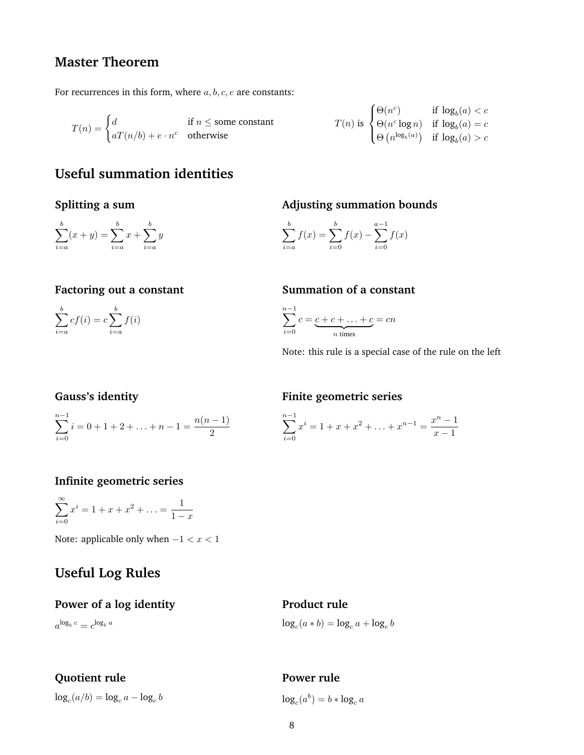# **Master Theorem**

For recurrences in this form, where  $a, b, c, e$  are constants:

$$
T(n) = \begin{cases} d & \text{if } n \leq \text{some constant} \\ aT(n/b) + e \cdot n^c & \text{otherwise} \end{cases}
$$

$$
T(n) \text{ is } \begin{cases} \Theta(n^c) & \text{if } \log_b(a) < c \\ \Theta(n^c \log n) & \text{if } \log_b(a) = c \\ \Theta(n^{\log_b(a)}) & \text{if } \log_b(a) > c \end{cases}
$$

# **Useful summation identities**

## **Splitting a sum**

$$
\sum_{i=a}^{b} (x+y) = \sum_{i=a}^{b} x + \sum_{i=a}^{b} y
$$

## **Adjusting summation bounds**

$$
\sum_{i=a}^{b} f(x) = \sum_{i=0}^{b} f(x) - \sum_{i=0}^{a-1} f(x)
$$

## **Factoring out a constant**

 $\sum^b$  $i = a$  $cf(i) = c\sum_{i=1}^{b}$  $i = a$  $f(i)$ 

## **Summation of a constant**

$$
\sum_{i=0}^{n-1} c = \underbrace{c+c+\ldots+c}_{n \text{ times}} = cn
$$

Note: this rule is a special case of the rule on the left

## **Gauss's identity**

$$
\sum_{i=0}^{n-1} i = 0 + 1 + 2 + \ldots + n - 1 = \frac{n(n-1)}{2}
$$

### **Finite geometric series**

$$
\sum_{i=0}^{n-1} x^i = 1 + x + x^2 + \dots + x^{n-1} = \frac{x^n - 1}{x - 1}
$$

## **Infinite geometric series**

 $\sum^{\infty}$  $i=0$  $x^i = 1 + x + x^2 + \ldots = \frac{1}{1}$  $1 - x$ 

Note: applicable only when  $-1 < x < 1$ 

# **Useful Log Rules**

#### **Power of a log identity**

 $a^{\log_b c} = c^{\log_b a}$ 

# **Product rule**

 $\log_c(a * b) = \log_c a + \log_c b$ 

# **Quotient rule**

 $\log_c(a/b) = \log_c a - \log_c b$ 

# **Power rule**

 $\log_c(a^b) = b * \log_c a$ 

n